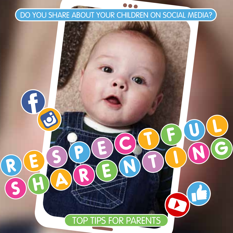#### DO YOU SHARE ABOUT YOUR CHILDREN ON SOCIAL MEDIA?

 $\overline{G}$ 

 $\overline{\boldsymbol{\varsigma}}$ 

6

 $\bullet$ 

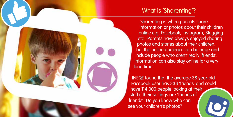

## What is 'Sharenting'?

Sharenting is when parents share information or photos about their children online e.g. Facebook, Instagram, Blogging etc. Parents have always enjoyed sharing photos and stories about their children, but the online audience can be huge and include people who aren't really 'friends'. Information can also stay online for a very long time.

INEQE found that the average 38 year-old Facebook user has 338 'friends' and could have 114,000 people looking at their stuff if their settings are 'friends of friends'! Do you know who can see your children's photos?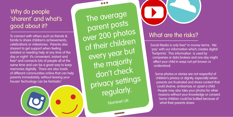# Why do people 'sharent' and what's good about it?

To connect with others such as friends & family to share children's achievements, celebrations or milestones. Parents also sharent to get support when feeling isolated or needing help at any time of the day or night! It's convenient, instant and free\* and connects lots of people all at the same time and can be a great way to keep memories digitally. There are also loads of different communities online that can help parents immediately, without leaving your house! Technology can be fantastic!

The average parent posts over 200 photos of their children every year but the majority don't check privacy settings regularly.

...

Nominet UK



# What are the risks?

Social Media is only free\* in money terms. We 'pay' with our information which creates digital 'footprints'. This information is used by companies or data brokers and one day might affect your child in ways not yet known or understood.

Some photos or stories are not respectful of children's privacy or dignity, especially when parents are frustrated and share content that could shame, embarrass or upset a child. People may also take your photos for other reasons without your knowledge or consent. Some children could be bullied because of what their parents share.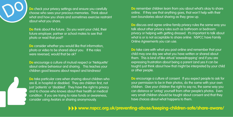

**Do** check your privacy settings and ensure you carefully choose who sees your precious memories. Think about what and how you share and sometimes exercise restraint about what you share.

**Do** think about the future. Do you want your child, their future employer, partner or school mates to see that photo or read that post?

**Do** consider whether you would like that information, photo or video to be shared about you. If the roles were reversed, would that be ok?

**Do** encourage a culture of mutual respect or 'Netiquette' about online behaviour and sharing. This teaches your children good lessons about respect and kindness!

**Do** take particular care when sharing about children who are ill, in hospital or disabled. They are children first, not just 'patients' or 'disabled'. They have the right to privacy and to choose who knows about their health or medical condition. If you are trying to raise funds or awareness, consider using Avatars or sharing anonymously.

**Do** remember children learn from you about what's okay to share online. If they see that anything goes, that won't help with their own boundaries about sharing as they grow up.

**Do** discuss and agree online family privacy rules the same way you talk about other privacy rules such as bathroom or bedroom privacy or helping with getting dressed. It's important to talk about what is or is not acceptable to share online. NSPCC have Family Online Agreements you can use.

**Do** take care with what you post online and remember that your child may one day see what you have written or shared about them. This is kind of like virtual 'eavesdropping' and if you are expressing frustration about being a parent (and yes it can be tough!) just think about how that might be interpreted by your child or other people.

**Do** encourage a culture of consent. If you expect people to ask for your permission to be in their photos, do the same with your own children. Give your children the right to say no, the same way you can distance or 'untag' yourself from other people's photos. Even very small children should be taught about consent and that they have choices about what happens to them.

**www.nspcc.org.uk/preventing-abuse/keeping-children-safe/share-aware/**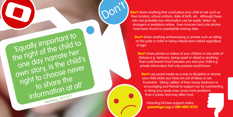**Don't** share anything that could place your child at risk such as their location, school uniform, date of birth, etc. Although these risks are probably low, information can be easily 'stolen' by strangers or predators online. Even innocent and cute photos have been found on paedophile sharing sites.

Don't

'Equally important to

'Equally importenild to<br>the right of the child to

e right of life<br>one day narrate her<br>one day narrate hild

one day national child's<br>one day is the child's<br>own story, is choose never

wn story, is *industry*<br>right to choose the to share the

information at all'

**Don't** share anything embarrassing or private such as sitting on the potty or toilet or being naked/semi-naked regardless of age!

**Don't** share photos or videos of your children in any state of distress e.g. tantrums, being upset or afraid or anything that could breach trust between you and your child e.g. private information that only parents would know.

**Don't** use social media as a way to discipline or shame your child when you have run out of ideas or are frustrated. Taking 'selfies' of their messy bedroom or encouraging your friends to support you by commenting or liking your posts may cause more problems than it solves and may affect trust.

Parenting NI have support online **parentingni.org** or **080 8801 0722**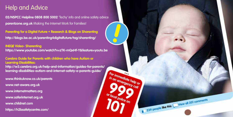### Help and Advice

**02/NSPCC Helpline 0808 800 5002** 'Techy' info and online safety advice **parentzone.org.uk** Making the Internet Work for Families!

**Parenting for a Digital Future • Research & Blogs on Sharenting http://blogs.lse.ac.uk/parenting4digitalfuture/tag/sharenting/** 

**INEQE Video- Sharenting https://www.youtube.com/watch?v=zTK-mQxHf-Y&feature=youtu.be** 

**Cerebra Guide for Parents with children who have Autism or Learning Disabilities:**

**http://w3.cerebra.org.uk/help-and-information/guides-for-parents/ learning-disabilities-autism-and-internet-safety-a-parents-guide/** 

For immediate help or in an emergency call

239 people like this Wiew all 201 comments

**www.thinkuknow.co.uk/parents www.net-aware.org.uk www.internetmatters.org www.saferinternet.org.uk www.childnet.com https://h2bsafetycentre.com/**